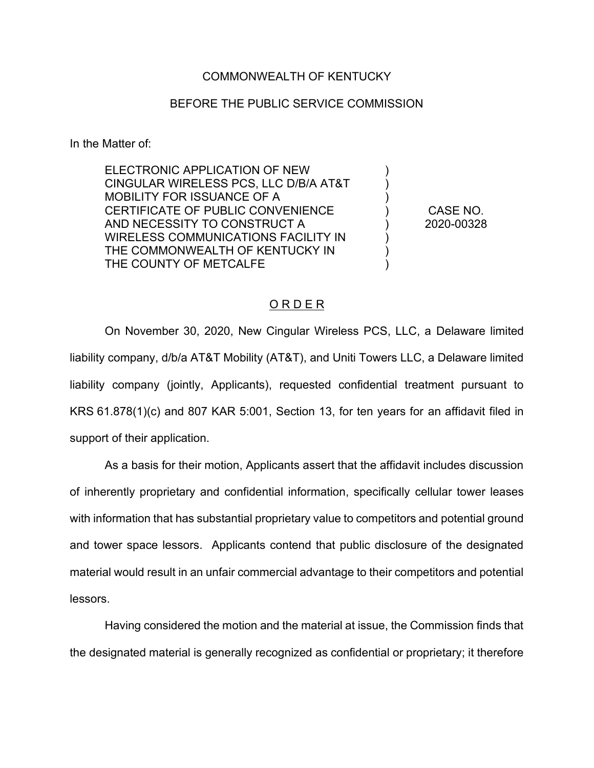## COMMONWEALTH OF KENTUCKY

## BEFORE THE PUBLIC SERVICE COMMISSION

In the Matter of:

ELECTRONIC APPLICATION OF NEW CINGULAR WIRELESS PCS, LLC D/B/A AT&T MOBILITY FOR ISSUANCE OF A CERTIFICATE OF PUBLIC CONVENIENCE AND NECESSITY TO CONSTRUCT A WIRELESS COMMUNICATIONS FACILITY IN THE COMMONWEALTH OF KENTUCKY IN THE COUNTY OF METCALFE

CASE NO. 2020-00328

) ) ) ) ) ) ) )

## O R D E R

On November 30, 2020, New Cingular Wireless PCS, LLC, a Delaware limited liability company, d/b/a AT&T Mobility (AT&T), and Uniti Towers LLC, a Delaware limited liability company (jointly, Applicants), requested confidential treatment pursuant to KRS 61.878(1)(c) and 807 KAR 5:001, Section 13, for ten years for an affidavit filed in support of their application.

As a basis for their motion, Applicants assert that the affidavit includes discussion of inherently proprietary and confidential information, specifically cellular tower leases with information that has substantial proprietary value to competitors and potential ground and tower space lessors. Applicants contend that public disclosure of the designated material would result in an unfair commercial advantage to their competitors and potential lessors.

Having considered the motion and the material at issue, the Commission finds that the designated material is generally recognized as confidential or proprietary; it therefore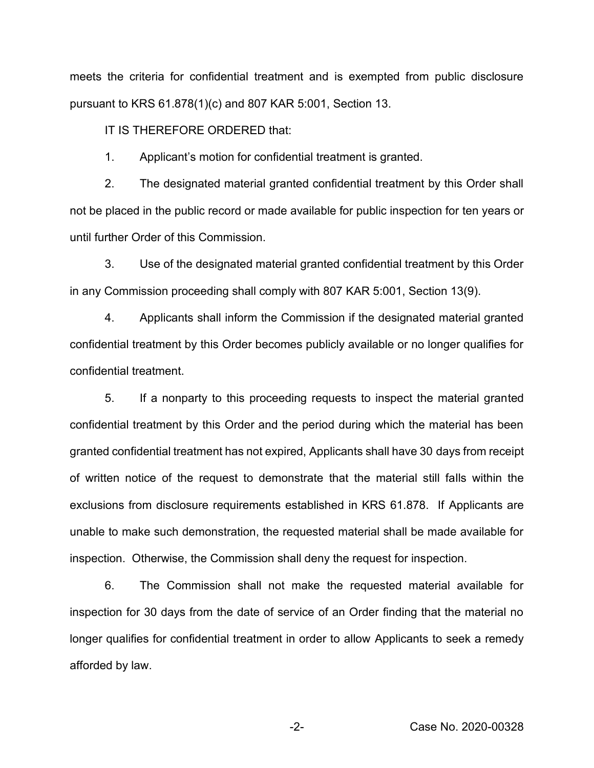meets the criteria for confidential treatment and is exempted from public disclosure pursuant to KRS 61.878(1)(c) and 807 KAR 5:001, Section 13.

IT IS THEREFORE ORDERED that:

1. Applicant's motion for confidential treatment is granted.

2. The designated material granted confidential treatment by this Order shall not be placed in the public record or made available for public inspection for ten years or until further Order of this Commission.

3. Use of the designated material granted confidential treatment by this Order in any Commission proceeding shall comply with 807 KAR 5:001, Section 13(9).

4. Applicants shall inform the Commission if the designated material granted confidential treatment by this Order becomes publicly available or no longer qualifies for confidential treatment.

5. If a nonparty to this proceeding requests to inspect the material granted confidential treatment by this Order and the period during which the material has been granted confidential treatment has not expired, Applicants shall have 30 days from receipt of written notice of the request to demonstrate that the material still falls within the exclusions from disclosure requirements established in KRS 61.878. If Applicants are unable to make such demonstration, the requested material shall be made available for inspection. Otherwise, the Commission shall deny the request for inspection.

6. The Commission shall not make the requested material available for inspection for 30 days from the date of service of an Order finding that the material no longer qualifies for confidential treatment in order to allow Applicants to seek a remedy afforded by law.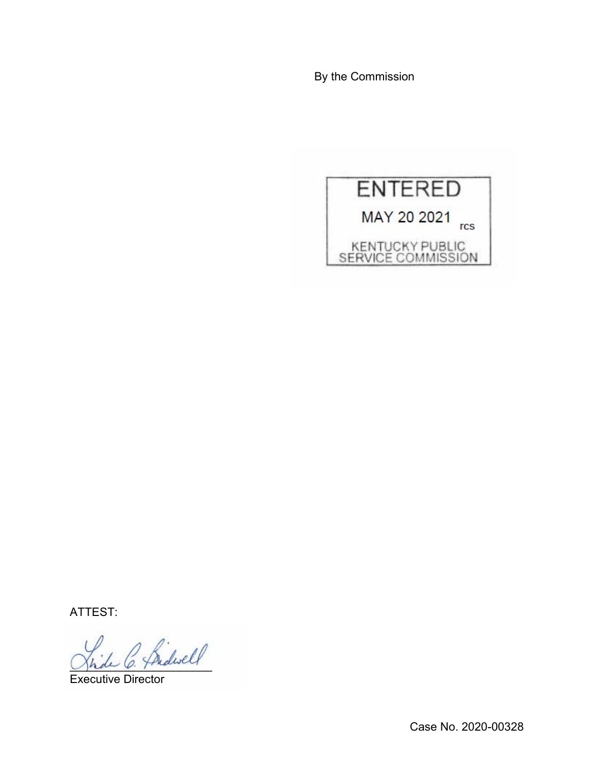By the Commission



ATTEST:

\_\_\_\_\_\_\_\_\_\_\_\_\_\_\_\_\_\_\_\_\_\_

Executive Director

Case No. 2020-00328